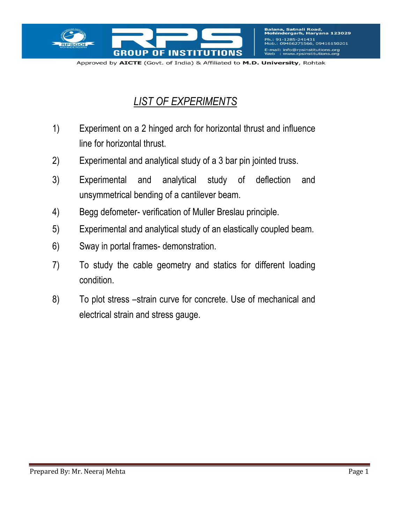

# *LIST OF EXPERIMENTS*

- 1) Experiment on a 2 hinged arch for horizontal thrust and influence line for horizontal thrust.
- 2) Experimental and analytical study of a 3 bar pin jointed truss.
- 3) Experimental and analytical study of deflection and unsymmetrical bending of a cantilever beam.
- 4) Begg defometer- verification of Muller Breslau principle.
- 5) Experimental and analytical study of an elastically coupled beam.
- 6) Sway in portal frames- demonstration.
- 7) To study the cable geometry and statics for different loading condition.
- 8) To plot stress –strain curve for concrete. Use of mechanical and electrical strain and stress gauge.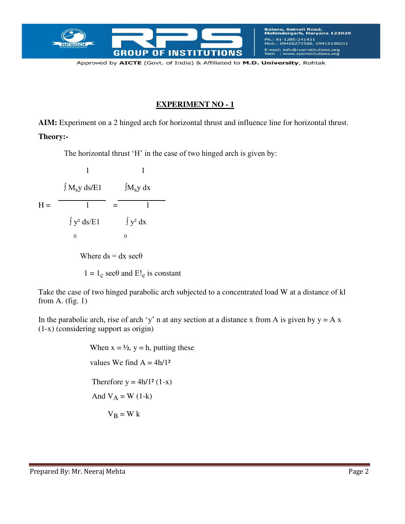

# **EXPERIMENT NO - 1**

**AIM:** Experiment on a 2 hinged arch for horizontal thrust and influence line for horizontal thrust. **Theory:-**

The horizontal thrust 'H' in the case of two hinged arch is given by:

1 1  $\int M_s y \, ds/E1$   $\int M_s y \, dx$  $H = 1 = 1$  $\int y^2 ds/E1$   $\int y^2 dx$ 0 0

Where  $ds = dx \sec\theta$ 

 $1 = 1_c \sec\theta$  and  $E!_c$  is constant

Take the case of two hinged parabolic arch subjected to a concentrated load W at a distance of kl from A. (fig.  $1$ )

In the parabolic arch, rise of arch 'y' n at any section at a distance x from A is given by  $y = Ax$ (1-x) (considering support as origin)

> When  $x = \frac{1}{2}$ ,  $y = h$ , putting these values We find  $A = 4h/1^2$ Therefore  $y = 4h/1^2(1-x)$ And  $V_A = W (1-k)$  $V_B = W k$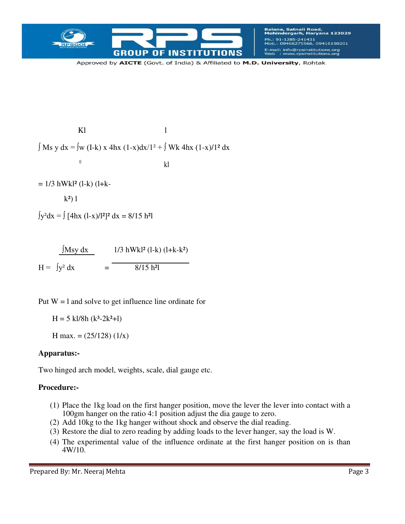

Kl and the set of the set of the set of the set of the set of the set of the set of the set of the set of the set of the set of the set of the set of the set of the set of the set of the set of the set of the set of the se ∫ Ms y dx = ∫w (I-k) x 4hx (1-x)dx/1² + ∫ Wk 4hx (1-x)/1² dx  $\mathbf{k}$ l  $= 1/3$  hWkl<sup>2</sup> (l-k) (l+k-

 $k^2$ ) l

∫y²dx = ∫ [4hx (l-x)/l²]² dx = 8/15 h²l

∫Msy dx 1/3 hWkl² (l-k) (l+k-k²)  $H = \int y^2 dx = 8/15 h^2$ 

Put  $W = 1$  and solve to get influence line ordinate for

 $H = 5$  kl/8h (k<sup>3</sup>-2k<sup>2</sup>+l)

H max. =  $(25/128)$   $(1/x)$ 

#### **Apparatus:-**

Two hinged arch model, weights, scale, dial gauge etc.

#### **Procedure:-**

- (1) Place the 1kg load on the first hanger position, move the lever the lever into contact with a 100gm hanger on the ratio 4:1 position adjust the dia gauge to zero.
- (2) Add 10kg to the 1kg hanger without shock and observe the dial reading.
- (3) Restore the dial to zero reading by adding loads to the lever hanger, say the load is W.
- (4) The experimental value of the influence ordinate at the first hanger position on is than 4W/10.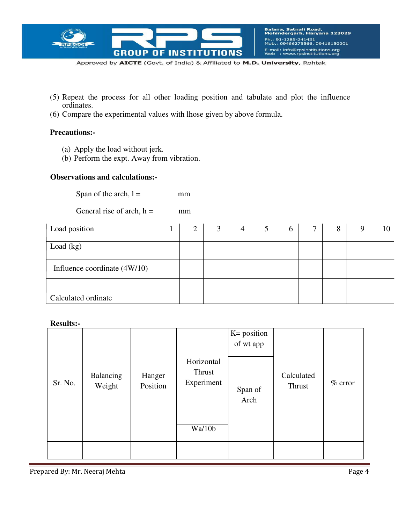

- (5) Repeat the process for all other loading position and tabulate and plot the influence ordinates.
- (6) Compare the experimental values with lhose given by above formula.

## **Precautions:-**

- (a) Apply the load without jerk.
- (b) Perform the expt. Away from vibration.

#### **Observations and calculations:-**

Span of the arch,  $l =$  mm

General rise of arch,  $h =$  mm

| Load position                | ∠ | 4 | O | ∩ | Q | 10 |
|------------------------------|---|---|---|---|---|----|
| Load $(kg)$                  |   |   |   |   |   |    |
| Influence coordinate (4W/10) |   |   |   |   |   |    |
| Calculated ordinate          |   |   |   |   |   |    |

#### **Results:-**

| Sr. No. | Balancing<br>Weight | Hanger<br>Position | Horizontal<br>Thrust<br>Experiment | $K = position$<br>of wt app<br>Span of<br>Arch | Calculated<br>Thrust | $%$ crror |
|---------|---------------------|--------------------|------------------------------------|------------------------------------------------|----------------------|-----------|
|         |                     |                    | Wa/10b                             |                                                |                      |           |
|         |                     |                    |                                    |                                                |                      |           |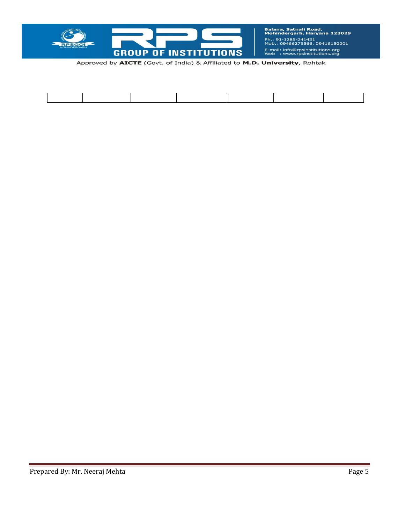

Approved by AICTE (Govt. of India) & Affiliated to M.D. University, Rohtak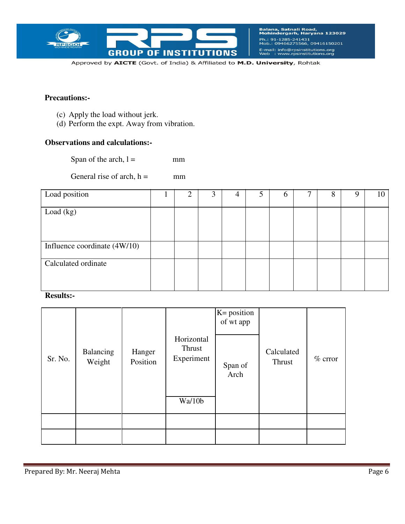

Approved by AICTE (Govt. of India) & Affiliated to M.D. University, Rohtak

#### **Precautions:-**

- (c) Apply the load without jerk.
- (d) Perform the expt. Away from vibration.

## **Observations and calculations:-**

Span of the arch,  $l =$  mm

General rise of arch,  $h =$  mm

| Load position                | ◠<br>$\angle$ | 4 | J | b | − | 8 | 9 | 10 |
|------------------------------|---------------|---|---|---|---|---|---|----|
| Load (kg)                    |               |   |   |   |   |   |   |    |
|                              |               |   |   |   |   |   |   |    |
| Influence coordinate (4W/10) |               |   |   |   |   |   |   |    |
| Calculated ordinate          |               |   |   |   |   |   |   |    |
|                              |               |   |   |   |   |   |   |    |

## **Results:-**

|         |                     |                    |                                    | $K = position$<br>of wt app |                      |           |
|---------|---------------------|--------------------|------------------------------------|-----------------------------|----------------------|-----------|
| Sr. No. | Balancing<br>Weight | Hanger<br>Position | Horizontal<br>Thrust<br>Experiment | Span of<br>Arch             | Calculated<br>Thrust | $%$ crror |
|         |                     |                    | Wa/10b                             |                             |                      |           |
|         |                     |                    |                                    |                             |                      |           |
|         |                     |                    |                                    |                             |                      |           |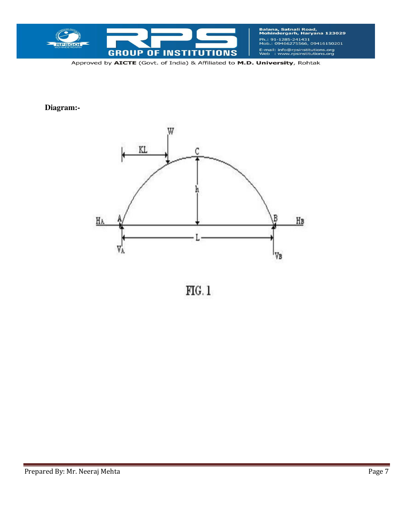

Approved by AICTE (Govt. of India) & Affiliated to M.D. University, Rohtak

**Diagram:-**



 $FIG.1$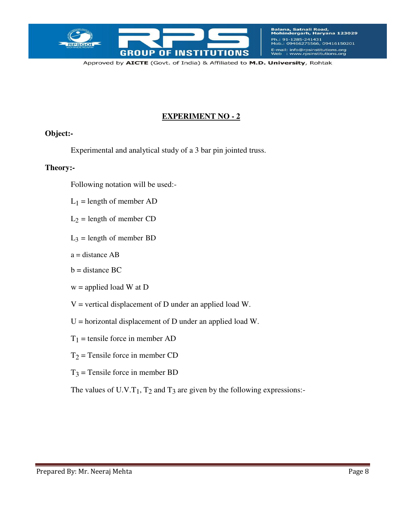

Satnali Road,<br>ergarh, Haryana 123029 431 66275566, 09416150201 info@rpsinstitutions.org<br>www.rpsinstitutions.org web

Approved by AICTE (Govt. of India) & Affiliated to M.D. University, Rohtak

# **EXPERIMENT NO - 2**

## **Object:-**

Experimental and analytical study of a 3 bar pin jointed truss.

## **Theory:-**

Following notation will be used:-

 $L_1$  = length of member AD

- $L_2$  = length of member CD
- $L_3$  = length of member BD
- a = distance AB
- $b = distance BC$
- $w =$  applied load W at D
- $V =$  vertical displacement of D under an applied load W.
- U = horizontal displacement of D under an applied load W.
- $T_1$  = tensile force in member AD
- $T_2$  = Tensile force in member CD
- $T_3$  = Tensile force in member BD

The values of U.V.T<sub>1</sub>, T<sub>2</sub> and T<sub>3</sub> are given by the following expressions:-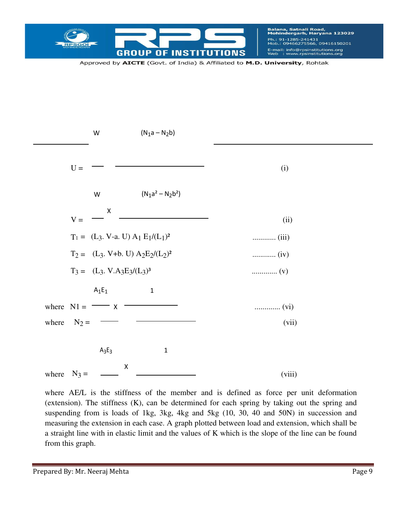



where AE/L is the stiffness of the member and is defined as force per unit deformation (extension). The stiffness (K), can be determined for each spring by taking out the spring and suspending from is loads of 1kg, 3kg, 4kg and 5kg (10, 30, 40 and 50N) in succession and measuring the extension in each case. A graph plotted between load and extension, which shall be a straight line with in elastic limit and the values of K which is the slope of the line can be found from this graph.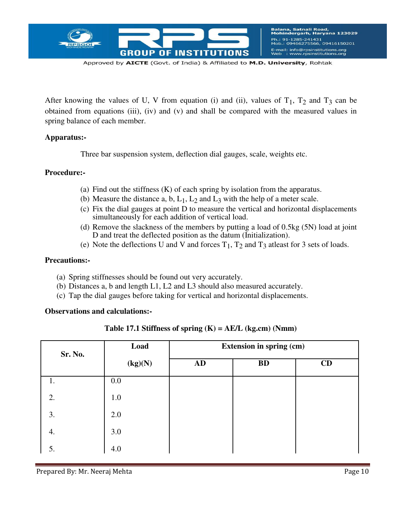

After knowing the values of U, V from equation (i) and (ii), values of  $T_1$ ,  $T_2$  and  $T_3$  can be obtained from equations (iii), (iv) and (v) and shall be compared with the measured values in spring balance of each member.

#### **Apparatus:-**

Three bar suspension system, deflection dial gauges, scale, weights etc.

#### **Procedure:-**

- (a) Find out the stiffness (K) of each spring by isolation from the apparatus.
- (b) Measure the distance a, b,  $L_1$ ,  $L_2$  and  $L_3$  with the help of a meter scale.
- (c) Fix the dial gauges at point D to measure the vertical and horizontal displacements simultaneously for each addition of vertical load.
- (d) Remove the slackness of the members by putting a load of 0.5kg (5N) load at joint D and treat the deflected position as the datum (Initialization).
- (e) Note the deflections U and V and forces  $T_1$ ,  $T_2$  and  $T_3$  atleast for 3 sets of loads.

#### **Precautions:-**

- (a) Spring stiffnesses should be found out very accurately.
- (b) Distances a, b and length L1, L2 and L3 should also measured accurately.
- (c) Tap the dial gauges before taking for vertical and horizontal displacements.

#### **Observations and calculations:-**

| Table 17.1 Stiffness of spring $(K) = A E/L$ (kg.cm) (Nmm) |  |  |  |  |  |  |
|------------------------------------------------------------|--|--|--|--|--|--|
|------------------------------------------------------------|--|--|--|--|--|--|

| Sr. No. | Load    | <b>Extension in spring (cm)</b> |           |    |  |  |  |  |
|---------|---------|---------------------------------|-----------|----|--|--|--|--|
|         | (kg)(N) | AD                              | <b>BD</b> | CD |  |  |  |  |
| 1.      | $0.0\,$ |                                 |           |    |  |  |  |  |
| 2.      | 1.0     |                                 |           |    |  |  |  |  |
| 3.      | 2.0     |                                 |           |    |  |  |  |  |
| 4.      | 3.0     |                                 |           |    |  |  |  |  |
| 5.      | 4.0     |                                 |           |    |  |  |  |  |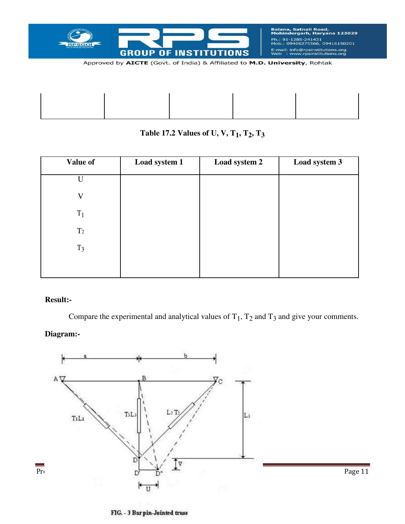



# **Table 17.2 Values of U, V, T1, T2, T3**

| Value of       | Load system 1 | Load system 2 | Load system 3 |
|----------------|---------------|---------------|---------------|
| U              |               |               |               |
| V              |               |               |               |
| $T_1$          |               |               |               |
| T <sub>2</sub> |               |               |               |
| $T_3$          |               |               |               |
|                |               |               |               |

# **Result:-**

Compare the experimental and analytical values of  $T_1$ ,  $T_2$  and  $T_3$  and give your comments.

#### **Diagram:-**



#### FIG. - 3 Bar pin-Jointed truss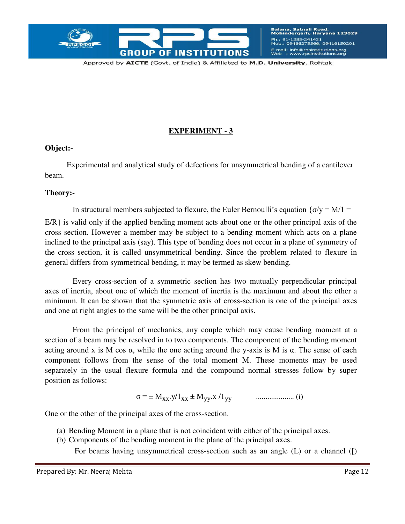

# **EXPERIMENT - 3**

## **Object:-**

Experimental and analytical study of defections for unsymmetrical bending of a cantilever beam.

## **Theory:-**

In structural members subjected to flexure, the Euler Bernoulli's equation  $\{\sigma / y = M / 1 =$  $E/R$  is valid only if the applied bending moment acts about one or the other principal axis of the cross section. However a member may be subject to a bending moment which acts on a plane inclined to the principal axis (say). This type of bending does not occur in a plane of symmetry of the cross section, it is called unsymmetrical bending. Since the problem related to flexure in general differs from symmetrical bending, it may be termed as skew bending.

Every cross-section of a symmetric section has two mutually perpendicular principal axes of inertia, about one of which the moment of inertia is the maximum and about the other a minimum. It can be shown that the symmetric axis of cross-section is one of the principal axes and one at right angles to the same will be the other principal axis.

From the principal of mechanics, any couple which may cause bending moment at a section of a beam may be resolved in to two components. The component of the bending moment acting around x is M cos  $\alpha$ , while the one acting around the y-axis is M is  $\alpha$ . The sense of each component follows from the sense of the total moment M. These moments may be used separately in the usual flexure formula and the compound normal stresses follow by super position as follows:

σ = ± Mxx.y/1xx ± Myy.x /1yy .................... (i)

One or the other of the principal axes of the cross-section.

- (a) Bending Moment in a plane that is not coincident with either of the principal axes.
- (b) Components of the bending moment in the plane of the principal axes.

For beams having unsymmetrical cross-section such as an angle (L) or a channel ([)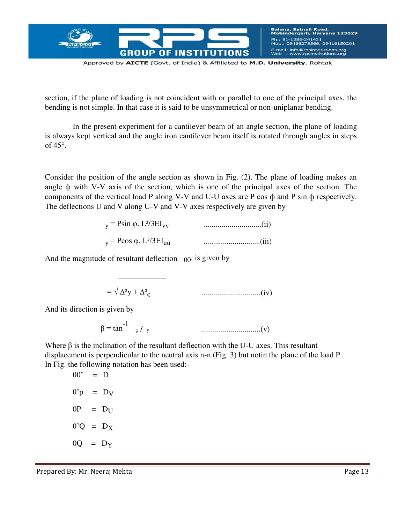

Approved by AICTE (Govt. of India) & Affiliated to M.D. University, Rohtak

section, if the plane of loading is not coincident with or parallel to one of the principal axes, the bending is not simple. In that case it is said to be unsymmetrical or non-uniplanar bending.

In the present experiment for a cantilever beam of an angle section, the plane of loading is always kept vertical and the angle iron cantilever beam itself is rotated through angles in steps of 45°.

Consider the position of the angle section as shown in Fig. (2). The plane of loading makes an angle ф with V-V axis of the section, which is one of the principal axes of the section. The components of the vertical load P along V-V and U-U axes are P cos ф and P sin ф respectively. The deflections U and V along U-V and V-V axes respectively are given by

| $V = \text{Psin } \varphi$ . L <sup>3</sup> /3EI <sub>VV</sub>  |  |
|-----------------------------------------------------------------|--|
| $_{\rm V}$ = Pcos $\varphi$ . L <sup>3</sup> /3EI <sub>uu</sub> |  |

And the magnitude of resultant deflection  $_{00}$ , is given by

\_\_\_\_\_\_\_\_\_\_\_\_

= √ Δ²y + Δ²ς ..............................(iv)

And its direction is given by

$$
\beta = \tan^{-1} \frac{1}{5} / \frac{1}{5}
$$
 (1)

Where β is the inclination of the resultant deflection with the U-U axes. This resultant displacement is perpendicular to the neutral axis n-n (Fig. 3) but notin the plane of the load P. In Fig. the following notation has been used:-

$$
00' = D
$$
  

$$
0'p = Dy
$$
  

$$
0P = D_U
$$
  

$$
0'Q = Dx
$$
  

$$
0Q = Dy
$$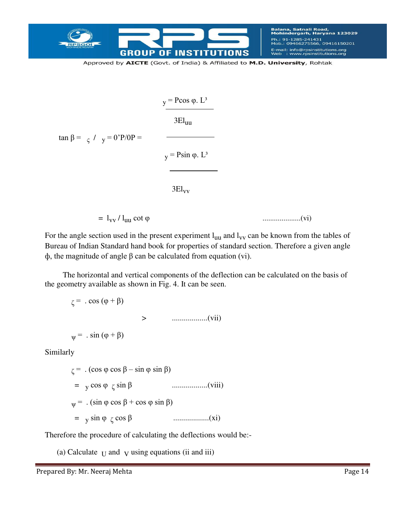

$$
y = P\cos \varphi. L^{3}
$$
\n
$$
3El_{uu}
$$
\n
$$
tan \beta = \frac{1}{\varsigma} / y = 0'P/0P = 0'
$$
\n
$$
y = P\sin \varphi. L^{3}
$$
\n
$$
3El_{vv}
$$

= lvv / luu cot φ ....................(vi)

For the angle section used in the present experiment  $l_{uu}$  and  $l_{vv}$  can be known from the tables of Bureau of Indian Standard hand book for properties of standard section. Therefore a given angle ф, the magnitude of angle β can be calculated from equation (vi).

The horizontal and vertical components of the deflection can be calculated on the basis of the geometry available as shown in Fig. 4. It can be seen.

 $\zeta$  = . cos ( $\varphi$  +  $\beta$ ) > ..................(vii)  $w = \sin (\varphi + \beta)$ 

Similarly

 $\zeta$  = . (cos φ cos β – sin φ sin β)  $=$  y cos  $\varphi \cos \theta$ sin β ..................(viii)  $\psi =$ . (sin φ cos β + cos φ sin β) = y sin φ ζ cos β ..................(xi)

Therefore the procedure of calculating the deflections would be:-

(a) Calculate  $U$  and  $V$  using equations (ii and iii)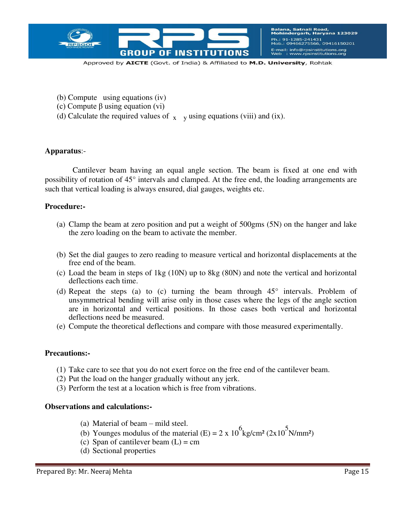

- (b) Compute using equations (iv)
- (c) Compute β using equation (vi)
- (d) Calculate the required values of  $\bar{x}$  v using equations (viii) and (ix).

## **Apparatus**:-

Cantilever beam having an equal angle section. The beam is fixed at one end with possibility of rotation of 45° intervals and clamped. At the free end, the loading arrangements are such that vertical loading is always ensured, dial gauges, weights etc.

## **Procedure:-**

- (a) Clamp the beam at zero position and put a weight of 500gms (5N) on the hanger and lake the zero loading on the beam to activate the member.
- (b) Set the dial gauges to zero reading to measure vertical and horizontal displacements at the free end of the beam.
- (c) Load the beam in steps of 1kg (10N) up to 8kg (80N) and note the vertical and horizontal deflections each time.
- (d) Repeat the steps (a) to (c) turning the beam through  $45^\circ$  intervals. Problem of unsymmetrical bending will arise only in those cases where the legs of the angle section are in horizontal and vertical positions. In those cases both vertical and horizontal deflections need be measured.
- (e) Compute the theoretical deflections and compare with those measured experimentally.

#### **Precautions:-**

- (1) Take care to see that you do not exert force on the free end of the cantilever beam.
- (2) Put the load on the hanger gradually without any jerk.
- (3) Perform the test at a location which is free from vibrations.

#### **Observations and calculations:-**

- (a) Material of beam mild steel.
- (b) Younges modulus of the material (E) = 2 x  $10^6$ kg/cm<sup>2</sup> (2x10<sup>5</sup>N/mm<sup>2</sup>)
- (c) Span of cantilever beam  $(L) = cm$
- (d) Sectional properties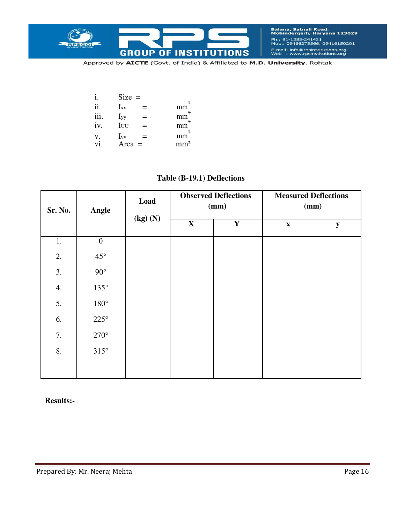

Approved by AICTE (Govt. of India) & Affiliated to M.D. University, Rohtak

|      | $Size =$ |     |                 |
|------|----------|-----|-----------------|
| ii.  | $I_{xx}$ |     | mm              |
| iii. | $I_{yy}$ | $=$ | mm              |
| iv.  | IUU      | $=$ | mm              |
| V.   | $I_{vv}$ |     | mm              |
|      | Area $=$ |     | mm <sup>2</sup> |

## **Table (B-19.1) Deflections**

| Sr. No. | Angle            | Load         | <b>Observed Deflections</b><br>(mm) |             | <b>Measured Deflections</b><br>(mm) |             |
|---------|------------------|--------------|-------------------------------------|-------------|-------------------------------------|-------------|
|         |                  | $(kg)$ $(N)$ | $\mathbf{X}$                        | $\mathbf Y$ | $\boldsymbol{\mathrm{X}}$           | $\mathbf y$ |
| 1.      | $\boldsymbol{0}$ |              |                                     |             |                                     |             |
| 2.      | $45^{\circ}$     |              |                                     |             |                                     |             |
| 3.      | $90^{\circ}$     |              |                                     |             |                                     |             |
| 4.      | $135^\circ$      |              |                                     |             |                                     |             |
| 5.      | $180^\circ$      |              |                                     |             |                                     |             |
| 6.      | $225^\circ$      |              |                                     |             |                                     |             |
| 7.      | $270^\circ$      |              |                                     |             |                                     |             |
| 8.      | $315^\circ$      |              |                                     |             |                                     |             |
|         |                  |              |                                     |             |                                     |             |

**Results:-**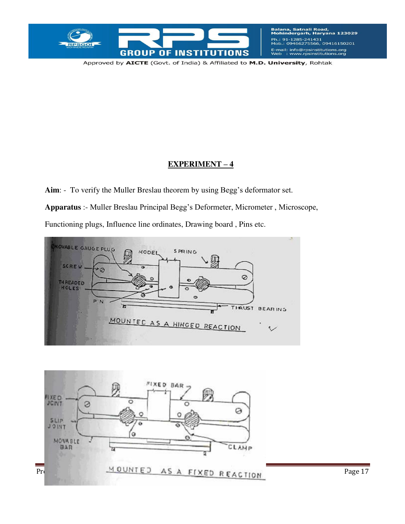

Approved by AICTE (Govt. of India) & Affiliated to M.D. University, Rohtak

# **EXPERIMENT – 4**

**Aim**: -To verify the Muller Breslau theorem by using Begg's deformator set. **Apparatus** :- Muller Breslau Principal Begg's Deformeter, Micrometer , Microscope, Functioning plugs, Influence line ordinates, Drawing board , Pins etc.



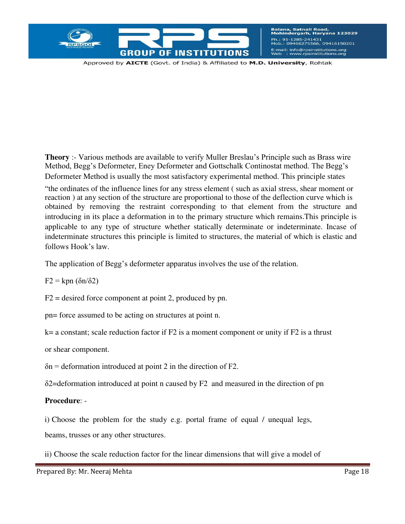

Approved by AICTE (Govt. of India) & Affiliated to M.D. University, Rohtak

**Theory** :- Various methods are available to verify Muller Breslau's Principle such as Brass wire Method, Begg's Deformeter, Eney Deformeter and Gottschalk Continostat method. The Begg's Deformeter Method is usually the most satisfactory experimental method. This principle states

"the ordinates of the influence lines for any stress element ( such as axial stress, shear moment or reaction ) at any section of the structure are proportional to those of the deflection curve which is obtained by removing the restraint corresponding to that element from the structure and introducing in its place a deformation in to the primary structure which remains.This principle is applicable to any type of structure whether statically determinate or indeterminate. Incase of indeterminate structures this principle is limited to structures, the material of which is elastic and follows Hook's law.

The application of Begg's deformeter apparatus involves the use of the relation.

 $F2 = kpn \left( \frac{\delta n}{\delta 2} \right)$ 

 $F2$  = desired force component at point 2, produced by pn.

pn= force assumed to be acting on structures at point n.

k= a constant; scale reduction factor if F2 is a moment component or unity if F2 is a thrust

or shear component.

δn = deformation introduced at point 2 in the direction of F2.

δ2=deformation introduced at point n caused by F2 and measured in the direction of pn

#### **Procedure**: -

i) Choose the problem for the study e.g. portal frame of equal / unequal legs, beams, trusses or any other structures.

ii) Choose the scale reduction factor for the linear dimensions that will give a model of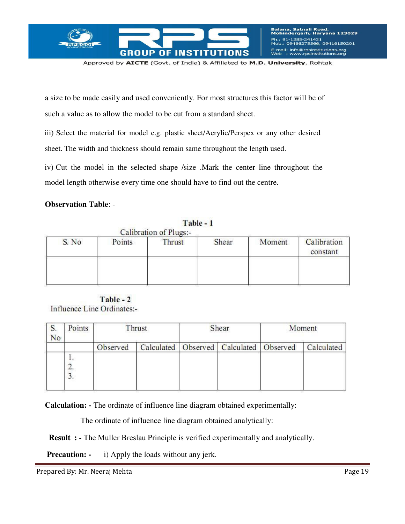

a size to be made easily and used conveniently. For most structures this factor will be of such a value as to allow the model to be cut from a standard sheet.

iii) Select the material for model e.g. plastic sheet/Acrylic/Perspex or any other desired

sheet. The width and thickness should remain same throughout the length used.

iv) Cut the model in the selected shape /size .Mark the center line throughout the model length otherwise every time one should have to find out the centre.

## **Observation Table**: -

Table - 1 Calibration of Pluge

| S. No. | Points | Thrust | Shear | Moment | Calibration<br>constant |
|--------|--------|--------|-------|--------|-------------------------|
|        |        |        |       |        |                         |
|        |        |        |       |        |                         |

## $Table - 2$

Influence Line Ordinates:-

| D.<br>No | Points                     | Thrust   |  | Shear |                                               | Moment |            |
|----------|----------------------------|----------|--|-------|-----------------------------------------------|--------|------------|
|          | ٠.<br>۷.<br>$\mathbf{3}$ . | Observed |  |       | Calculated   Observed   Calculated   Observed |        | Calculated |

**Calculation: -** The ordinate of influence line diagram obtained experimentally:

The ordinate of influence line diagram obtained analytically:

**Result :** - The Muller Breslau Principle is verified experimentally and analytically.

**Precaution:** - i) Apply the loads without any jerk.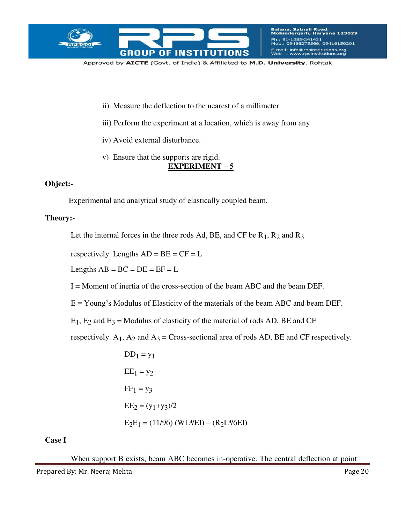

- ii) Measure the deflection to the nearest of a millimeter.
- iii) Perform the experiment at a location, which is away from any
- iv) Avoid external disturbance.
- v) Ensure that the supports are rigid. **EXPERIMENT – 5**

## **Object:-**

Experimental and analytical study of elastically coupled beam.

#### **Theory:-**

Let the internal forces in the three rods Ad, BE, and CF be  $R_1$ ,  $R_2$  and  $R_3$ 

respectively. Lengths  $AD = BE = CF = L$ 

Lengths  $AB = BC = DE = EF = L$ 

I = Moment of inertia of the cross-section of the beam ABC and the beam DEF.

 $E =$  Young's Modulus of Elasticity of the materials of the beam ABC and beam DEF.

 $E_1$ ,  $E_2$  and  $E_3$  = Modulus of elasticity of the material of rods AD, BE and CF

respectively.  $A_1$ ,  $A_2$  and  $A_3$  = Cross-sectional area of rods AD, BE and CF respectively.

$$
DD1 = y1
$$
  
EE<sub>1</sub> = y<sub>2</sub>  
FF<sub>1</sub> = y<sub>3</sub>  
EE<sub>2</sub> = (y<sub>1</sub>+y<sub>3</sub>)/2  
E<sub>2</sub>E<sub>1</sub> = (11/96) (WL<sup>3</sup>/EI) – (R<sub>2</sub>L<sup>3</sup>/6EI)

**Case I**

When support B exists, beam ABC becomes in-operative. The central deflection at point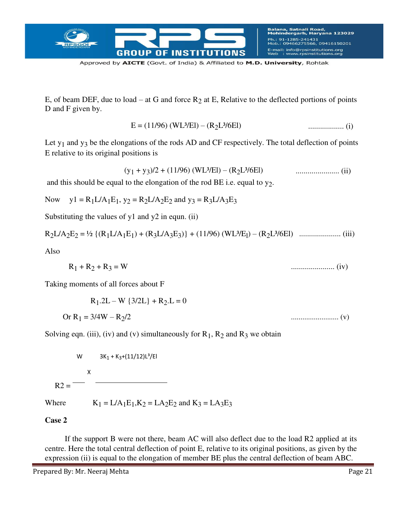

E, of beam DEF, due to load – at G and force  $R_2$  at E, Relative to the deflected portions of points D and F given by.

$$
E = (11/96) (WL3/El) – (R2L3/6El)
$$
................. (i)

Let  $y_1$  and  $y_3$  be the elongations of the rods AD and CF respectively. The total deflection of points E relative to its original positions is

$$
(y_1 + y_3)/2 + (11/96) (WL^3/EL) - (R_2L^3/6EL)
$$
 ....... (ii)

and this should be equal to the elongation of the rod BE i.e. equal to y2.

Now 
$$
y1 = R_1 L/A_1 E_1
$$
,  $y_2 = R_2 L/A_2 E_2$  and  $y_3 = R_3 L/A_3 E_3$ 

Substituting the values of y1 and y2 in equn. (ii)

R2L/A2E2 = ½ {(R1L/A1E1) + (R3L/A3E3)} + (11/96) (WL³/El ) – (R2L³/6El) ..................... (iii)

Also

$$
R_1 + R_2 + R_3 = W
$$
 (iv)

Taking moments of all forces about F

$$
R_1.2L - W \{3/2L\} + R_2.L = 0
$$
  
Or  $R_1 = 3/4W - R_2/2$  (iv)

Solving eqn. (iii), (iv) and (v) simultaneously for  $R_1$ ,  $R_2$  and  $R_3$  we obtain

$$
W = 3K_1 + K_3 + (11/12)L^3/EI
$$
  
\n
$$
R2 =
$$
  
\n
$$
K_1 = L/A_1E_1, K_2 = LA_2E_2 \text{ and } K_3 = LA_3E_3
$$

**Case 2**

If the support B were not there, beam AC will also deflect due to the load R2 applied at its centre. Here the total central deflection of point E, relative to its original positions, as given by the expression (ii) is equal to the elongation of member BE plus the central deflection of beam ABC.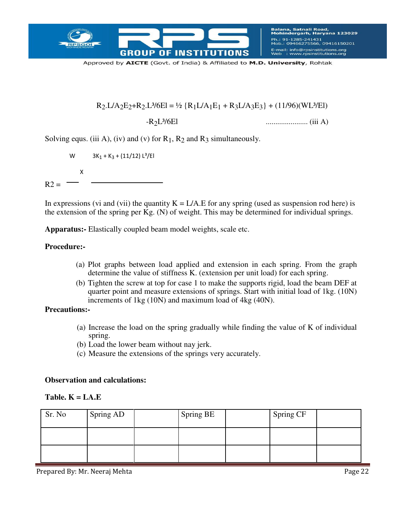

 $R_2.L/A_2E_2+R_2.L^3/6El = \frac{1}{2} \{R_1L/A_1E_1 + R_3L/A_3E_3\} + (11/96)(WL^3/El)$ 

-R2L³/6El ...................... (iii A)

Solving equs. (iii A), (iv) and (v) for  $R_1$ ,  $R_2$  and  $R_3$  simultaneously.

| w | $3K_1 + K_3 + (11/12) L^3/E$ |
|---|------------------------------|
| x |                              |

 $R2 =$ 

In expressions (vi and (vii) the quantity  $K = L/A$ . E for any spring (used as suspension rod here) is the extension of the spring per Kg. (N) of weight. This may be determined for individual springs.

**Apparatus:-** Elastically coupled beam model weights, scale etc.

#### **Procedure:-**

- (a) Plot graphs between load applied and extension in each spring. From the graph determine the value of stiffness K. (extension per unit load) for each spring.
- (b) Tighten the screw at top for case 1 to make the supports rigid, load the beam DEF at quarter point and measure extensions of springs. Start with initial load of 1kg. (10N) increments of 1kg (10N) and maximum load of 4kg (40N).

## **Precautions:-**

- (a) Increase the load on the spring gradually while finding the value of K of individual spring.
- (b) Load the lower beam without nay jerk.
- (c) Measure the extensions of the springs very accurately.

#### **Observation and calculations:**

## Table.  $K = LA.E$

| Sr. No | Spring AD | Spring BE | Spring CF |  |
|--------|-----------|-----------|-----------|--|
|        |           |           |           |  |
|        |           |           |           |  |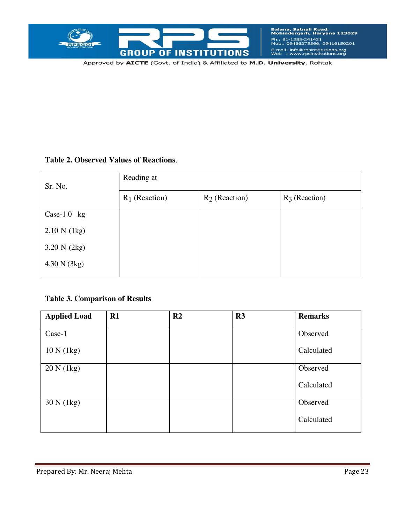

Approved by AICTE (Govt. of India) & Affiliated to M.D. University, Rohtak

## **Table 2. Observed Values of Reactions**.

| Sr. No.        | Reading at       |                  |                  |  |  |  |  |
|----------------|------------------|------------------|------------------|--|--|--|--|
|                | $R_1$ (Reaction) | $R_2$ (Reaction) | $R_3$ (Reaction) |  |  |  |  |
| Case-1.0 $kg$  |                  |                  |                  |  |  |  |  |
| 2.10 N (1kg)   |                  |                  |                  |  |  |  |  |
| 3.20 N $(2kg)$ |                  |                  |                  |  |  |  |  |
| 4.30 N (3kg)   |                  |                  |                  |  |  |  |  |

# **Table 3. Comparison of Results**

| <b>Applied Load</b> | R1 | R <sub>2</sub> | R3 | <b>Remarks</b> |
|---------------------|----|----------------|----|----------------|
| Case-1              |    |                |    | Observed       |
| 10 N (1kg)          |    |                |    | Calculated     |
| 20 N (1 kg)         |    |                |    | Observed       |
|                     |    |                |    | Calculated     |
| 30 N (1kg)          |    |                |    | Observed       |
|                     |    |                |    | Calculated     |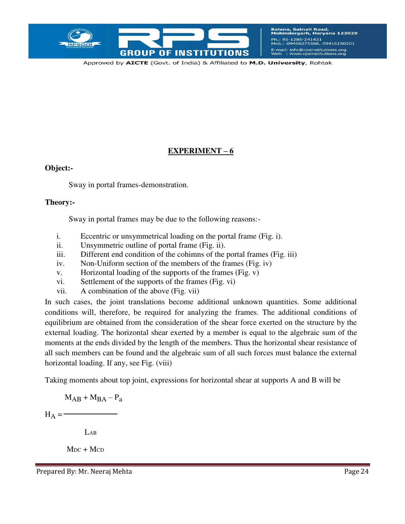

Approved by AICTE (Govt. of India) & Affiliated to M.D. University, Rohtak

# **EXPERIMENT – 6**

## **Object:-**

Sway in portal frames-demonstration.

## **Theory:-**

Sway in portal frames may be due to the following reasons:-

- i. Eccentric or unsymmetrical loading on the portal frame (Fig. i).
- ii. Unsymmetric outline of portal frame (Fig. ii).
- iii. Different end condition of the cohimns of the portal frames (Fig. iii)
- iv. Non-Uniform section of the members of the frames (Fig. iv)
- v. Horizontal loading of the supports of the frames (Fig. v)
- vi. Settlement of the supports of the frames (Fig. vi)
- vii. A combination of the above (Fig. vii)

In such cases, the joint translations become additional unknown quantities. Some additional conditions will, therefore, be required for analyzing the frames. The additional conditions of equilibrium are obtained from the consideration of the shear force exerted on the structure by the external loading. The horizontal shear exerted by a member is equal to the algebraic sum of the moments at the ends divided by the length of the members. Thus the horizontal shear resistance of all such members can be found and the algebraic sum of all such forces must balance the external horizontal loading. If any, see Fig. (viii)

Taking moments about top joint, expressions for horizontal shear at supports A and B will be

 $M_{AB} + M_{BA} - P_a$ 

 $H_A = -$ 

LAB

 $MDC + MCD$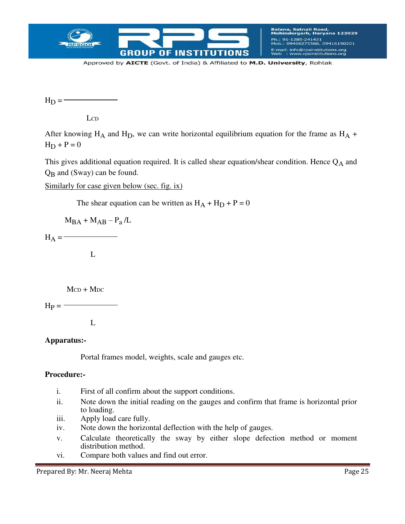

 $H_D =$ 

**LCD** 

After knowing H<sub>A</sub> and H<sub>D</sub>, we can write horizontal equilibrium equation for the frame as H<sub>A</sub> +  $H_D + P = 0$ 

This gives additional equation required. It is called shear equation/shear condition. Hence  $Q_A$  and QB and (Sway) can be found.

Similarly for case given below (sec. fig. ix)

The shear equation can be written as  $H_A + H_D + P = 0$ 

 $M<sub>BA</sub> + M<sub>AB</sub> - P<sub>a</sub>/L$ 

 $H_A =$ 

L

 $MCD + MDC$ 

 $H_P = -$ 

L

# **Apparatus:-**

Portal frames model, weights, scale and gauges etc.

## **Procedure:-**

- i. First of all confirm about the support conditions.
- ii. Note down the initial reading on the gauges and confirm that frame is horizontal prior to loading.
- iii. Apply load care fully.
- iv. Note down the horizontal deflection with the help of gauges.
- v. Calculate theoretically the sway by either slope defection method or moment distribution method.
- vi. Compare both values and find out error.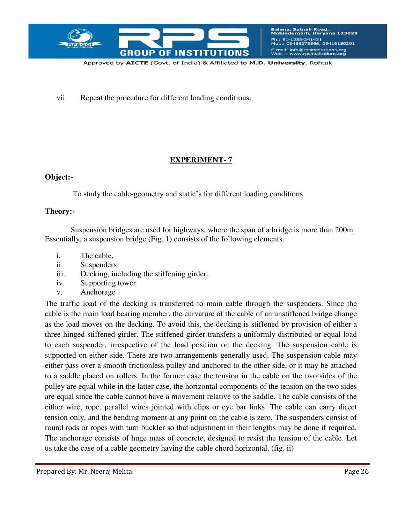

vii. Repeat the procedure for different loading conditions.

# **EXPERIMENT- 7**

## **Object:-**

To study the cable-geometry and static's for different loading conditions.

## **Theory:-**

Suspension bridges are used for highways, where the span of a bridge is more than 200m. Essentially, a suspension bridge (Fig. 1) consists of the following elements.

- i. The cable,
- ii. Suspenders
- iii. Decking, including the stiffening girder.
- iv. Supporting tower
- v. Anchorage

The traffic load of the decking is transferred to main cable through the suspenders. Since the cable is the main load bearing member, the curvature of the cable of an unstiffened bridge change as the load moves on the decking. To avoid this, the decking is stiffened by provision of either a three hinged stiffened girder. The stiffened girder transfers a uniformly distributed or equal load to each suspender, irrespective of the load position on the decking. The suspension cable is supported on either side. There are two arrangements generally used. The suspension cable may either pass over a smooth frictionless pulley and anchored to the other side, or it may be attached to a saddle placed on rollers. In the former case the tension in the cable on the two sides of the pulley are equal while in the latter case, the horizontal components of the tension on the two sides are equal since the cable cannot have a movement relative to the saddle. The cable consists of the either wire, rope, parallel wires jointed with clips or eye bar links. The cable can carry direct tension only, and the bending moment at any point on the cable is zero. The suspenders consist of round rods or ropes with turn buckler so that adjustment in their lengths may be done if required. The anchorage consists of huge mass of concrete, designed to resist the tension of the cable. Let us take the case of a cable geometry having the cable chord horizontal. (fig. ii)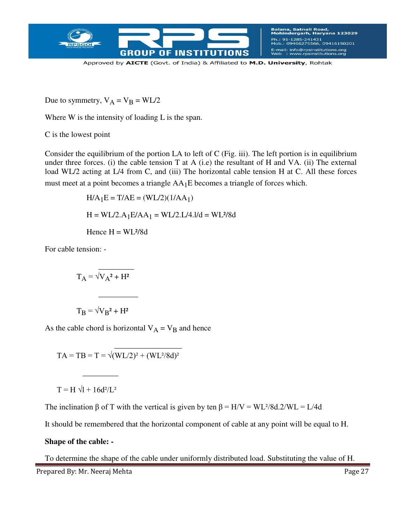

Due to symmetry,  $V_A = V_B = WL/2$ 

Where W is the intensity of loading L is the span.

C is the lowest point

Consider the equilibrium of the portion LA to left of C (Fig. iii). The left portion is in equilibrium under three forces. (i) the cable tension T at A (i.e) the resultant of H and VA. (ii) The external load WL/2 acting at L/4 from C, and (iii) The horizontal cable tension H at C. All these forces must meet at a point becomes a triangle  $AA_1E$  becomes a triangle of forces which.

$$
H/A_1E = T/AE = (WL/2)(1/AA_1)
$$
  
H = WL/2.A<sub>1</sub>E/AA<sub>1</sub> = WL/2.L/4.I/d = WL<sup>2</sup>/8d  
Hence H = WL<sup>2</sup>/8d

For cable tension: -

$$
T_A = \sqrt{V_A^2 + H^2}
$$
  

$$
T_B = \sqrt{V_B^2 + H^2}
$$

As the cable chord is horizontal  $V_A = V_B$  and hence

$$
TA = TB = T = \sqrt{(WL/2)^{2} + (WL^{2}/8d)^{2}}
$$

 $T = H \sqrt{1 + 16d^2/L^2}$ 

 $\overline{\phantom{a}}$  . The set of  $\overline{\phantom{a}}$ 

The inclination  $\beta$  of T with the vertical is given by ten  $\beta = H/V = WL^2/8d.2/WL = L/4d$ 

It should be remembered that the horizontal component of cable at any point will be equal to H.

## **Shape of the cable: -**

To determine the shape of the cable under uniformly distributed load. Substituting the value of H.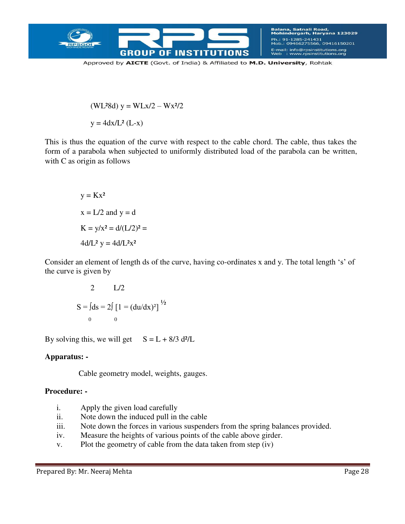

(WL<sup>2</sup>8d) 
$$
y = WLx/2 - Wx^2/2
$$
  
 $y = 4dx/L^2 (L-x)$ 

This is thus the equation of the curve with respect to the cable chord. The cable, thus takes the form of a parabola when subjected to uniformly distributed load of the parabola can be written, with C as origin as follows

> $y = Kx^2$  $x = L/2$  and  $y = d$  $K = y/x^2 = d/(L/2)^2 =$  $4d/L^2$  y =  $4d/L^2x^2$

Consider an element of length ds of the curve, having co-ordinates x and y. The total length 's' of the curve is given by

$$
2 \qquad L/2
$$

$$
S = \int ds = 2 \int [1 - (du/dx)^{2}]^{1/2}
$$

$$
0 \qquad 0
$$

By solving this, we will get  $S = L + 8/3$  d<sup>2</sup>/L

## **Apparatus: -**

Cable geometry model, weights, gauges.

## **Procedure: -**

- i. Apply the given load carefully
- ii. Note down the induced pull in the cable
- iii. Note down the forces in various suspenders from the spring balances provided.
- iv. Measure the heights of various points of the cable above girder.
- v. Plot the geometry of cable from the data taken from step (iv)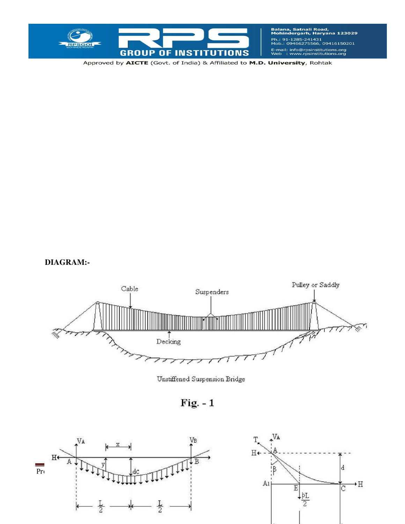

Balana, Satnali Road,<br>Mohindergarh, Haryana 123029 E-mail: info@rpsinstitutions.org<br>Web : www.rpsinstitutions.org

 $\rightarrow$  H

 $\overline{C}$ 

Approved by AICTE (Govt. of India) & Affiliated to M.D. University, Rohtak

# **DIAGRAM:-**



Unstiffened Suspension Bridge

Fig.  $-1$ 

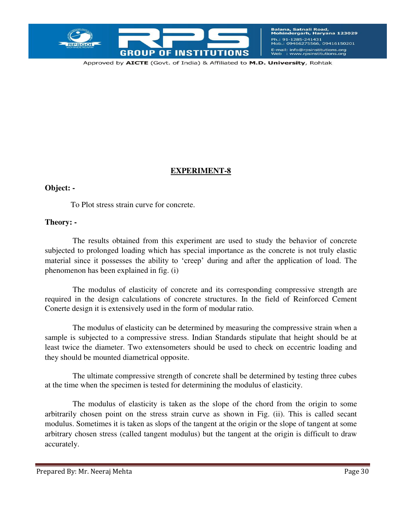

Approved by AICTE (Govt. of India) & Affiliated to M.D. University, Rohtak

## **EXPERIMENT-8**

## **Object: -**

To Plot stress strain curve for concrete.

## **Theory: -**

The results obtained from this experiment are used to study the behavior of concrete subjected to prolonged loading which has special importance as the concrete is not truly elastic material since it possesses the ability to 'creep' during and after the application of load. The phenomenon has been explained in fig. (i)

The modulus of elasticity of concrete and its corresponding compressive strength are required in the design calculations of concrete structures. In the field of Reinforced Cement Conerte design it is extensively used in the form of modular ratio.

The modulus of elasticity can be determined by measuring the compressive strain when a sample is subjected to a compressive stress. Indian Standards stipulate that height should be at least twice the diameter. Two extensometers should be used to check on eccentric loading and they should be mounted diametrical opposite.

The ultimate compressive strength of concrete shall be determined by testing three cubes at the time when the specimen is tested for determining the modulus of elasticity.

The modulus of elasticity is taken as the slope of the chord from the origin to some arbitrarily chosen point on the stress strain curve as shown in Fig. (ii). This is called secant modulus. Sometimes it is taken as slops of the tangent at the origin or the slope of tangent at some arbitrary chosen stress (called tangent modulus) but the tangent at the origin is difficult to draw accurately.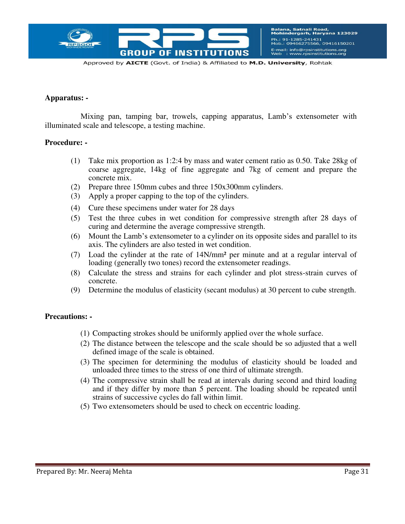

## **Apparatus: -**

Mixing pan, tamping bar, trowels, capping apparatus, Lamb's extensometer with illuminated scale and telescope, a testing machine.

#### **Procedure: -**

- (1) Take mix proportion as 1:2:4 by mass and water cement ratio as 0.50. Take 28kg of coarse aggregate, 14kg of fine aggregate and 7kg of cement and prepare the concrete mix.
- (2) Prepare three 150mm cubes and three 150x300mm cylinders.
- (3) Apply a proper capping to the top of the cylinders.
- (4) Cure these specimens under water for 28 days
- (5) Test the three cubes in wet condition for compressive strength after 28 days of curing and determine the average compressive strength.
- (6) Mount the Lamb's extensometer to a cylinder on its opposite sides and parallel to its axis. The cylinders are also tested in wet condition.
- (7) Load the cylinder at the rate of 14N/mm² per minute and at a regular interval of loading (generally two tones) record the extensometer readings.
- (8) Calculate the stress and strains for each cylinder and plot stress-strain curves of concrete.
- (9) Determine the modulus of elasticity (secant modulus) at 30 percent to cube strength.

#### **Precautions: -**

- (1) Compacting strokes should be uniformly applied over the whole surface.
- (2) The distance between the telescope and the scale should be so adjusted that a well defined image of the scale is obtained.
- (3) The specimen for determining the modulus of elasticity should be loaded and unloaded three times to the stress of one third of ultimate strength.
- (4) The compressive strain shall be read at intervals during second and third loading and if they differ by more than 5 percent. The loading should be repeated until strains of successive cycles do fall within limit.
- (5) Two extensometers should be used to check on eccentric loading.